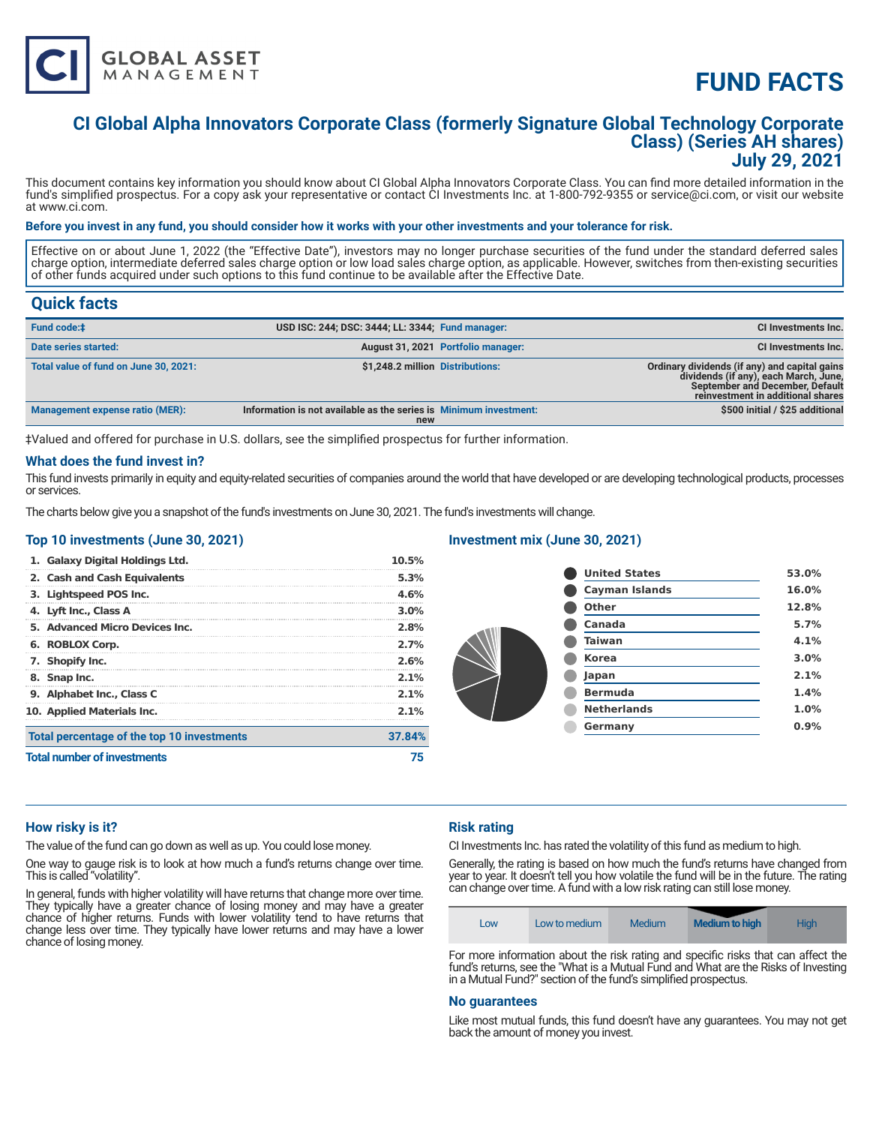

# **FUND FACTS**

# **CI Global Alpha Innovators Corporate Class (formerly Signature Global Technology Corporate Class) (Series AH shares) July 29, 2021**

This document contains key information you should know about CI Global Alpha Innovators Corporate Class. You can find more detailed information in the fund's simplified prospectus. For a copy ask your representative or contact CI Investments Inc. at 1-800-792-9355 or service@ci.com, or visit our website at www.ci.com.

#### **Before you invest in any fund, you should consider how it works with your other investments and your tolerance for risk.**

Effective on or about June 1, 2022 (the "Effective Date"), investors may no longer purchase securities of the fund under the standard deferred sales charge option, intermediate deferred sales charge option or low load sales charge option, as applicable. However, switches from then-existing securities of other funds acquired under such options to this fund continue to be available after the Effective Date.

## **Quick facts**

| August 31, 2021 Portfolio manager: | CI Investments Inc.                                                                                                                                            |
|------------------------------------|----------------------------------------------------------------------------------------------------------------------------------------------------------------|
|                                    |                                                                                                                                                                |
|                                    | Ordinary dividends (if any) and capital gains<br>dividends (if any), each March, June,<br>September and December, Default<br>reinvestment in additional shares |
|                                    | \$500 initial / \$25 additional                                                                                                                                |
|                                    | \$1,248.2 million Distributions:<br>Information is not available as the series is Minimum investment:<br>new                                                   |

‡Valued and offered for purchase in U.S. dollars, see the simplified prospectus for further information.

#### **What does the fund invest in?**

This fund invests primarily in equity and equity-related securities of companies around the world that have developed or are developing technological products, processes or services.

The charts below give you a snapshot of the fund's investments on June 30, 2021. The fund's investments will change.

#### **Top 10 investments (June 30, 2021)**

| 1. Galaxy Digital Holdings Ltd.            | 10.5%   |
|--------------------------------------------|---------|
| 2. Cash and Cash Equivalents               | 5.3%    |
| 3. Lightspeed POS Inc.                     | 4.6%    |
| 4. Lyft Inc., Class A                      | $3.0\%$ |
| 5. Advanced Micro Devices Inc.             | 2.8%    |
| 6. ROBLOX Corp.                            | 2.7%    |
| 7. Shopify Inc.                            | 2.6%    |
| 8. Snap Inc.                               | 2.1%    |
| 9. Alphabet Inc., Class C                  | 2.1%    |
| 10. Applied Materials Inc.                 | $2.1\%$ |
| Total percentage of the top 10 investments | 37.84%  |
| <b>Total number of investments</b>         |         |

#### **Investment mix (June 30, 2021)**

| <b>United States</b>  | 53.0% |
|-----------------------|-------|
| <b>Cayman Islands</b> | 16.0% |
| <b>Other</b>          | 12.8% |
| Canada                | 5.7%  |
| Taiwan                | 4.1%  |
| <b>Korea</b>          | 3.0%  |
| Japan                 | 2.1%  |
| <b>Bermuda</b>        | 1.4%  |
| <b>Netherlands</b>    | 1.0%  |
| Germany               | 0.9%  |
|                       |       |

#### **How risky is it?**

The value of the fund can go down as well as up. You could lose money.

One way to gauge risk is to look at how much a fund's returns change over time. This is called "volatility".

In general, funds with higher volatility will have returns that change more over time. They typically have a greater chance of losing money and may have a greater chance of higher returns. Funds with lower volatility tend to have returns that change less over time. They typically have lower returns and may have a lower chance of losing money.

#### **Risk rating**

CI Investments Inc. has rated the volatility of this fund as medium to high.

Generally, the rating is based on how much the fund's returns have changed from year to year. It doesn't tell you how volatile the fund will be in the future. The rating can change over time. A fund with a low risk rating can still lose money.

| <b>Medium to high</b><br>Medium<br>Hiah<br>Low to medium<br>LOW |
|-----------------------------------------------------------------|
|-----------------------------------------------------------------|

For more information about the risk rating and specific risks that can affect the fund's returns, see the "What is a Mutual Fund and What are the Risks of Investing in a Mutual Fund?" section of the fund's simplified prospectus.

#### **No guarantees**

Like most mutual funds, this fund doesn't have any guarantees. You may not get back the amount of money you invest.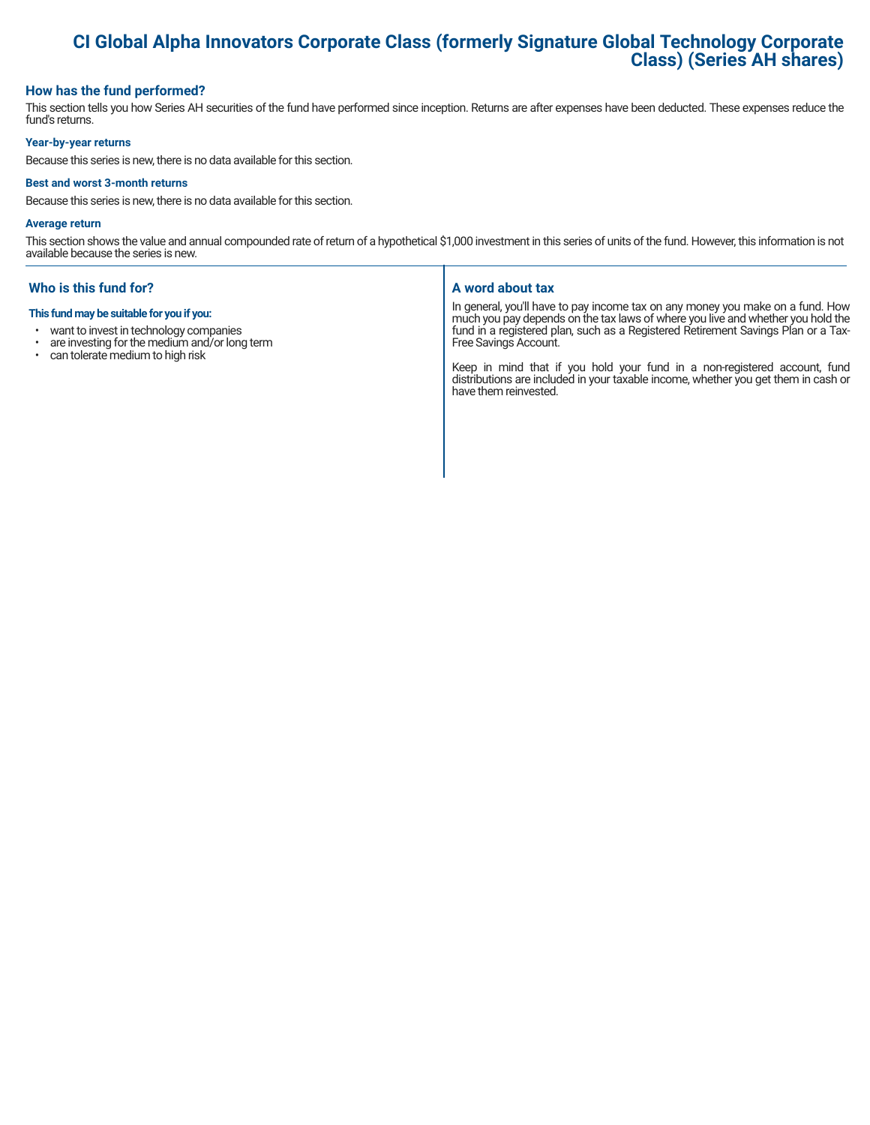# **CI Global Alpha Innovators Corporate Class (formerly Signature Global Technology Corporate Class) (Series AH shares)**

#### **How has the fund performed?**

This section tells you how Series AH securities of the fund have performed since inception. Returns are after expenses have been deducted. These expenses reduce the fund's returns.

#### **Year-by-year returns**

Because this series is new, there is no data available for this section.

#### **Best and worst 3-month returns**

Because this series is new, there is no data available for this section.

#### **Average return**

This section shows the value and annual compounded rate of return of a hypothetical \$1,000 investment in this series of units of the fund. However, this information is not available because the series is new.

### **Who is this fund for?**

#### **This fund may be suitable for you if you:**

- want to invest in technology companies
- $\cdot$  are investing for the medium and/or long term<br> $\cdot$  can tolerate medium to bigh risk
- can tolerate medium to high risk

#### **A word about tax**

In general, you'll have to pay income tax on any money you make on a fund. How much you pay depends on the tax laws of where you live and whether you hold the fund in a registered plan, such as a Registered Retirement Savings Plan or a Tax-Free Savings Account.

Keep in mind that if you hold your fund in a non-registered account, fund distributions are included in your taxable income, whether you get them in cash or have them reinvested.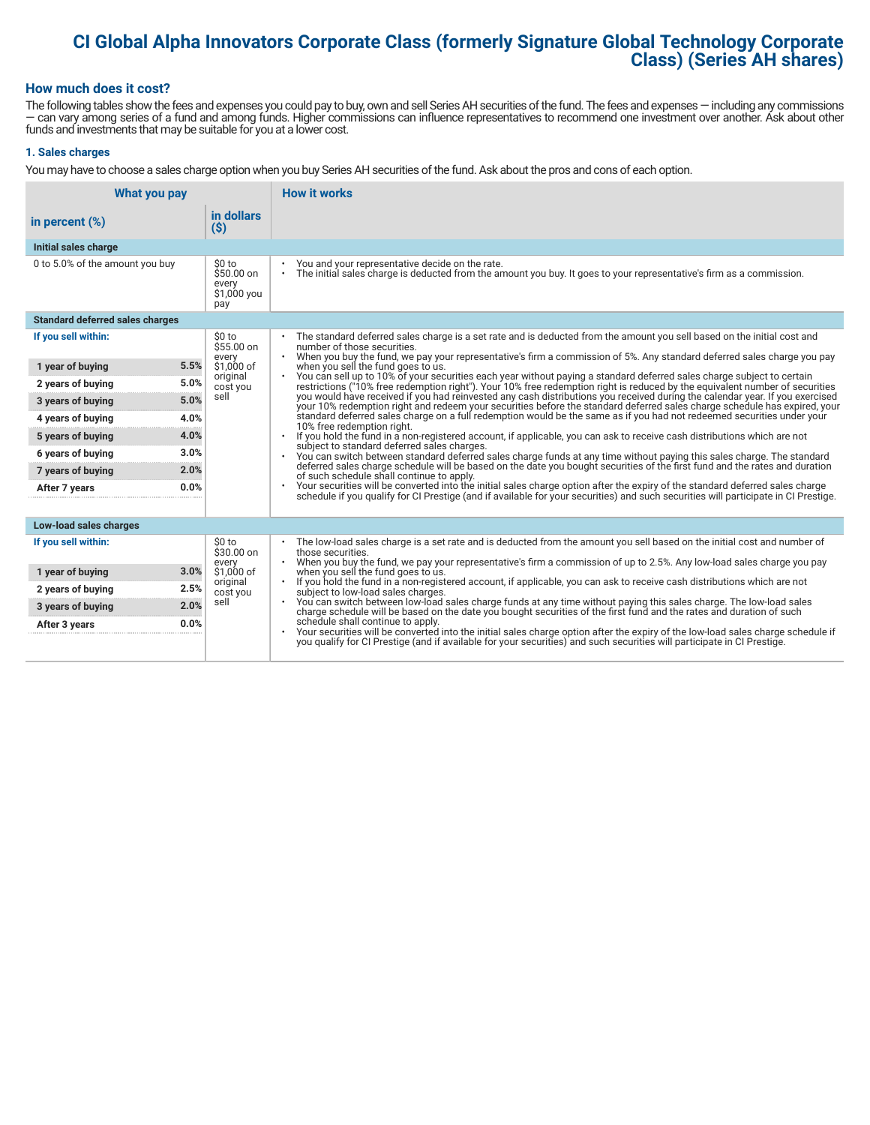# **CI Global Alpha Innovators Corporate Class (formerly Signature Global Technology Corporate Class) (Series AH shares)**

#### **How much does it cost?**

The following tables show the fees and expenses you could pay to buy, own and sell Series AH securities of the fund. The fees and expenses — including any commissions — can vary among series of a fund and among funds. Higher commissions can influence representatives to recommend one investment over another. Ask about other funds and investments that may be suitable for you at a lower cost.

#### **1. Sales charges**

You may have to choose a sales charge option when you buy Series AH securities of the fund. Ask about the pros and cons of each option.

| What you pay                           |                                                     | <b>How it works</b>                                                                                                                                                                                                                                                              |
|----------------------------------------|-----------------------------------------------------|----------------------------------------------------------------------------------------------------------------------------------------------------------------------------------------------------------------------------------------------------------------------------------|
| in percent $(\%)$                      | in dollars<br>$($ \$)                               |                                                                                                                                                                                                                                                                                  |
| Initial sales charge                   |                                                     |                                                                                                                                                                                                                                                                                  |
| 0 to 5.0% of the amount you buy        | \$0 to<br>\$50.00 on<br>every<br>\$1,000 you<br>pay | You and your representative decide on the rate.<br>The initial sales charge is deducted from the amount you buy. It goes to your representative's firm as a commission.<br>$\bullet$                                                                                             |
| <b>Standard deferred sales charges</b> |                                                     |                                                                                                                                                                                                                                                                                  |
| If you sell within:                    | \$0 to<br>\$55.00 on                                | The standard deferred sales charge is a set rate and is deducted from the amount you sell based on the initial cost and<br>number of those securities.                                                                                                                           |
| 5.5%<br>1 year of buying               | every<br>\$1,000 of                                 | . When you buy the fund, we pay your representative's firm a commission of 5%. Any standard deferred sales charge you pay<br>when you sell the fund goes to us.                                                                                                                  |
| 5.0%<br>2 years of buying              | original<br>cost you                                | You can sell up to 10% of your securities each year without paying a standard deferred sales charge subject to certain<br>restrictions ("10% free redemption right"). Your 10% free redemption right is reduced by the equivalent number of securities                           |
| 5.0%<br>3 years of buying              | sell                                                | you would have received if you had reinvested any cash distributions you received during the calendar year. If you exercised<br>your 10% redemption right and redeem your securities before the standard deferred sales charge schedule has expired, your                        |
| 4.0%<br>4 years of buying              |                                                     | standard deferred sales charge on a full redemption would be the same as if you had not redeemed securities under your<br>10% free redemption right.<br>If you hold the fund in a non-registered account, if applicable, you can ask to receive cash distributions which are not |
| 4.0%<br>5 years of buying              |                                                     |                                                                                                                                                                                                                                                                                  |
| 3.0%<br>6 years of buying              |                                                     | subject to standard deferred sales charges.<br>You can switch between standard deferred sales charge funds at any time without paying this sales charge. The standard                                                                                                            |
| 2.0%<br>7 years of buying              |                                                     | deferred sales charge schedule will be based on the date you bought securities of the first fund and the rates and duration<br>of such schedule shall continue to apply.                                                                                                         |
| 0.0%<br>After 7 years                  |                                                     | Your securities will be converted into the initial sales charge option after the expiry of the standard deferred sales charge<br>schedule if you qualify for CI Prestige (and if available for your securities) and such securities will participate in CI Prestige.             |
|                                        |                                                     |                                                                                                                                                                                                                                                                                  |
| Low-load sales charges                 |                                                     |                                                                                                                                                                                                                                                                                  |
| If you sell within:                    | \$0 to<br>\$30.00 on<br>every                       | The low-load sales charge is a set rate and is deducted from the amount you sell based on the initial cost and number of<br>those securities.<br>When you buy the fund, we pay your representative's firm a commission of up to 2.5%. Any low-load sales charge you pay          |
| 3.0%<br>1 year of buying               | \$1.000 of                                          | when you sell the fund goes to us.                                                                                                                                                                                                                                               |
| 2.5%<br>2 years of buying              | original<br>cost you                                | If you hold the fund in a non-registered account, if applicable, you can ask to receive cash distributions which are not<br>subject to low-load sales charges.                                                                                                                   |
| 2.0%<br>3 years of buying              | sell                                                | You can switch between low-load sales charge funds at any time without paying this sales charge. The low-load sales<br>charge schedule will be based on the date you bought securities of the first fund and the rates and duration of such                                      |
| 0.0%<br>After 3 years                  |                                                     | schedule shall continue to apply.<br>Your securities will be converted into the initial sales charge option after the expiry of the low-load sales charge schedule if                                                                                                            |
|                                        |                                                     | you qualify for CI Prestige (and if available for your securities) and such securities will participate in CI Prestige.                                                                                                                                                          |